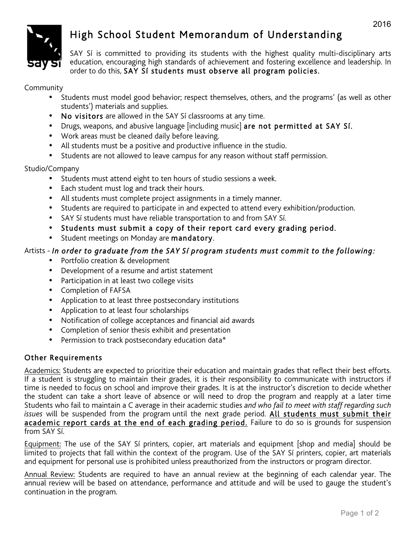

# High School Student Memorandum of Understanding

SAY Sí is committed to providing its students with the highest quality multi-disciplinary arts education, encouraging high standards of achievement and fostering excellence and leadership. In order to do this, SAY Sí students must observe all program policies.

Community

- Students must model good behavior; respect themselves, others, and the programs' (as well as other students') materials and supplies.
- No visitors are allowed in the SAY Sí classrooms at any time.
- Drugs, weapons, and abusive language [including music] are not permitted at SAY Sí.
- Work areas must be cleaned daily before leaving.
- All students must be a positive and productive influence in the studio.
- Students are not allowed to leave campus for any reason without staff permission.

Studio/Company

- Students must attend eight to ten hours of studio sessions a week.
- Each student must log and track their hours.
- All students must complete project assignments in a timely manner.
- Students are required to participate in and expected to attend every exhibition/production.
- SAY Sí students must have reliable transportation to and from SAY Sí.
- Students must submit a copy of their report card every grading period.
- Student meetings on Monday are mandatory.

# Artists - *In order to graduate from the SAY Sí program students must commit to the following:*

- Portfolio creation & development
- Development of a resume and artist statement
- Participation in at least two college visits
- Completion of FAFSA
- Application to at least three postsecondary institutions
- Application to at least four scholarships
- Notification of college acceptances and financial aid awards
- Completion of senior thesis exhibit and presentation
- Permission to track postsecondary education data\*

# Other Requirements

Academics: Students are expected to prioritize their education and maintain grades that reflect their best efforts. If a student is struggling to maintain their grades, it is their responsibility to communicate with instructors if time is needed to focus on school and improve their grades. It is at the instructor's discretion to decide whether the student can take a short leave of absence or will need to drop the program and reapply at a later time Students who fail to maintain a C average in their academic studies *and who fail to meet with staff regarding such issues* will be suspended from the program until the next grade period. All students must submit their academic report cards at the end of each grading period. Failure to do so is grounds for suspension from SAY Sí.

Equipment: The use of the SAY Sí printers, copier, art materials and equipment [shop and media] should be limited to projects that fall within the context of the program. Use of the SAY Sí printers, copier, art materials and equipment for personal use is prohibited unless preauthorized from the instructors or program director.

Annual Review: Students are required to have an annual review at the beginning of each calendar year. The annual review will be based on attendance, performance and attitude and will be used to gauge the student's continuation in the program.